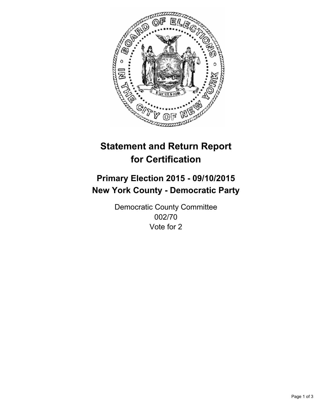

# **Statement and Return Report for Certification**

## **Primary Election 2015 - 09/10/2015 New York County - Democratic Party**

Democratic County Committee 002/70 Vote for 2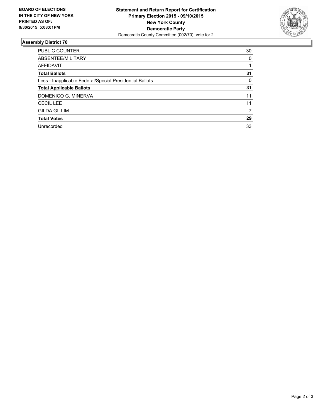

#### **Assembly District 70**

| <b>PUBLIC COUNTER</b>                                    | 30 |
|----------------------------------------------------------|----|
| ABSENTEE/MILITARY                                        | 0  |
| <b>AFFIDAVIT</b>                                         |    |
| <b>Total Ballots</b>                                     | 31 |
| Less - Inapplicable Federal/Special Presidential Ballots | 0  |
| <b>Total Applicable Ballots</b>                          | 31 |
| DOMENICO G. MINERVA                                      | 11 |
| <b>CECIL LEE</b>                                         | 11 |
| <b>GILDA GILLIM</b>                                      | 7  |
| <b>Total Votes</b>                                       | 29 |
| Unrecorded                                               | 33 |